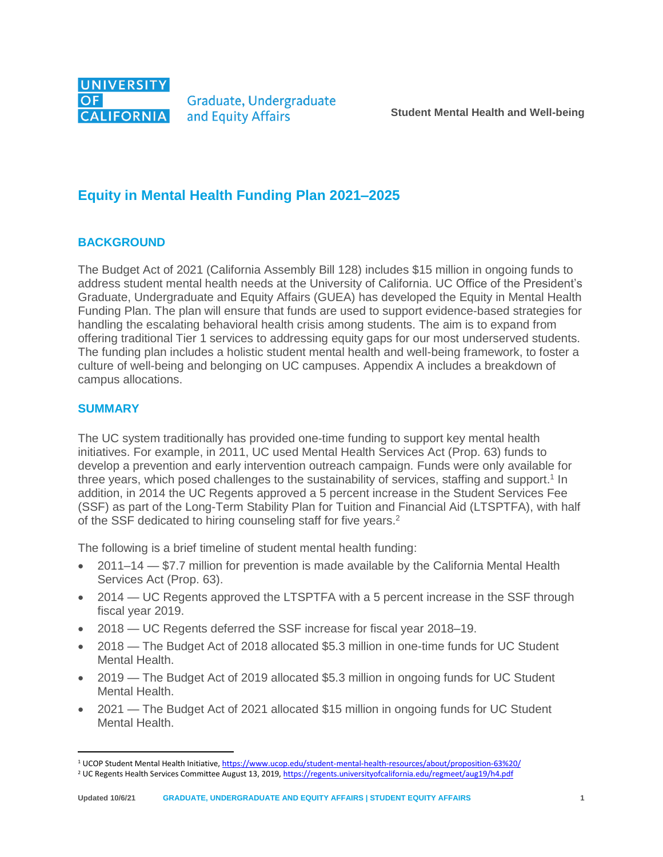

Graduate, Undergraduate and Equity Affairs

# **Equity in Mental Health Funding Plan 2021–2025**

### **BACKGROUND**

The Budget Act of 2021 (California Assembly Bill 128) includes \$15 million in ongoing funds to address student mental health needs at the University of California. UC Office of the President's Graduate, Undergraduate and Equity Affairs (GUEA) has developed the Equity in Mental Health Funding Plan. The plan will ensure that funds are used to support evidence-based strategies for handling the escalating behavioral health crisis among students. The aim is to expand from offering traditional Tier 1 services to addressing equity gaps for our most underserved students. The funding plan includes a holistic student mental health and well-being framework, to foster a culture of well-being and belonging on UC campuses. Appendix A includes a breakdown of campus allocations.

### **SUMMARY**

 $\overline{a}$ 

The UC system traditionally has provided one-time funding to support key mental health initiatives. For example, in 2011, UC used Mental Health Services Act (Prop. 63) funds to develop a prevention and early intervention outreach campaign. Funds were only available for three years, which posed challenges to the sustainability of services, staffing and support.<sup>1</sup> In addition, in 2014 the UC Regents approved a 5 percent increase in the Student Services Fee (SSF) as part of the Long-Term Stability Plan for Tuition and Financial Aid (LTSPTFA), with half of the SSF dedicated to hiring counseling staff for five years.<sup>2</sup>

The following is a brief timeline of student mental health funding:

- 2011–14 \$7.7 million for prevention is made available by the California Mental Health Services Act (Prop. 63).
- 2014 UC Regents approved the LTSPTFA with a 5 percent increase in the SSF through fiscal year 2019.
- 2018 UC Regents deferred the SSF increase for fiscal year 2018–19.
- 2018 The Budget Act of 2018 allocated \$5.3 million in one-time funds for UC Student Mental Health.
- 2019 The Budget Act of 2019 allocated \$5.3 million in ongoing funds for UC Student Mental Health.
- 2021 The Budget Act of 2021 allocated \$15 million in ongoing funds for UC Student Mental Health.

<sup>1</sup> UCOP Student Mental Health Initiative, <https://www.ucop.edu/student-mental-health-resources/about/proposition-63%20/>

<sup>&</sup>lt;sup>2</sup> UC Regents Health Services Committee August 13, 2019[, https://regents.universityofcalifornia.edu/regmeet/aug19/h4.pdf](https://regents.universityofcalifornia.edu/regmeet/aug19/h4.pdf)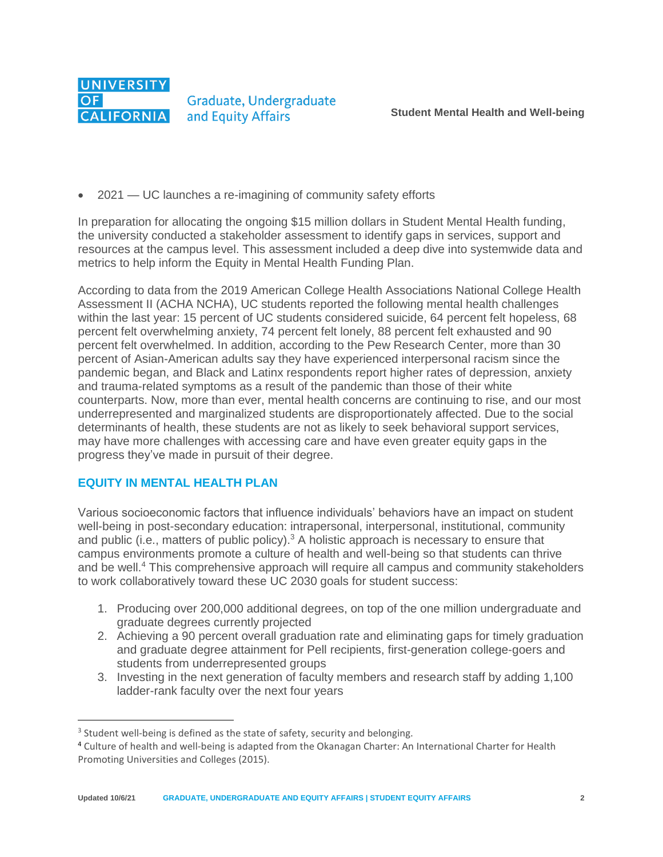

2021 — UC launches a re-imagining of community safety efforts

In preparation for allocating the ongoing \$15 million dollars in Student Mental Health funding, the university conducted a stakeholder assessment to identify gaps in services, support and resources at the campus level. This assessment included a deep dive into systemwide data and metrics to help inform the Equity in Mental Health Funding Plan.

According to data from the 2019 American College Health Associations National College Health Assessment II (ACHA NCHA), UC students reported the following mental health challenges within the last year: 15 percent of UC students considered suicide, 64 percent felt hopeless, 68 percent felt overwhelming anxiety, 74 percent felt lonely, 88 percent felt exhausted and 90 percent felt overwhelmed. In addition, according to the Pew Research Center, more than 30 percent of Asian-American adults say they have experienced interpersonal racism since the pandemic began, and Black and Latinx respondents report higher rates of depression, anxiety and trauma-related symptoms as a result of the pandemic than those of their white counterparts. Now, more than ever, mental health concerns are continuing to rise, and our most underrepresented and marginalized students are disproportionately affected. Due to the social determinants of health, these students are not as likely to seek behavioral support services, may have more challenges with accessing care and have even greater equity gaps in the progress they've made in pursuit of their degree.

### **EQUITY IN MENTAL HEALTH PLAN**

 $\overline{a}$ 

Various socioeconomic factors that influence individuals' behaviors have an impact on student well-being in post-secondary education: intrapersonal, interpersonal, institutional, community and public (i.e., matters of public policy).<sup>3</sup> A holistic approach is necessary to ensure that campus environments promote a culture of health and well-being so that students can thrive and be well.<sup>4</sup> This comprehensive approach will require all campus and community stakeholders to work collaboratively toward these UC 2030 goals for student success:

- 1. Producing over 200,000 additional degrees, on top of the one million undergraduate and graduate degrees currently projected
- 2. Achieving a 90 percent overall graduation rate and eliminating gaps for timely graduation and graduate degree attainment for Pell recipients, first-generation college-goers and students from underrepresented groups
- 3. Investing in the next generation of faculty members and research staff by adding 1,100 ladder-rank faculty over the next four years

 $3$  Student well-being is defined as the state of safety, security and belonging.

<sup>4</sup> Culture of health and well-being is adapted from the Okanagan Charter: An International Charter for Health Promoting Universities and Colleges (2015).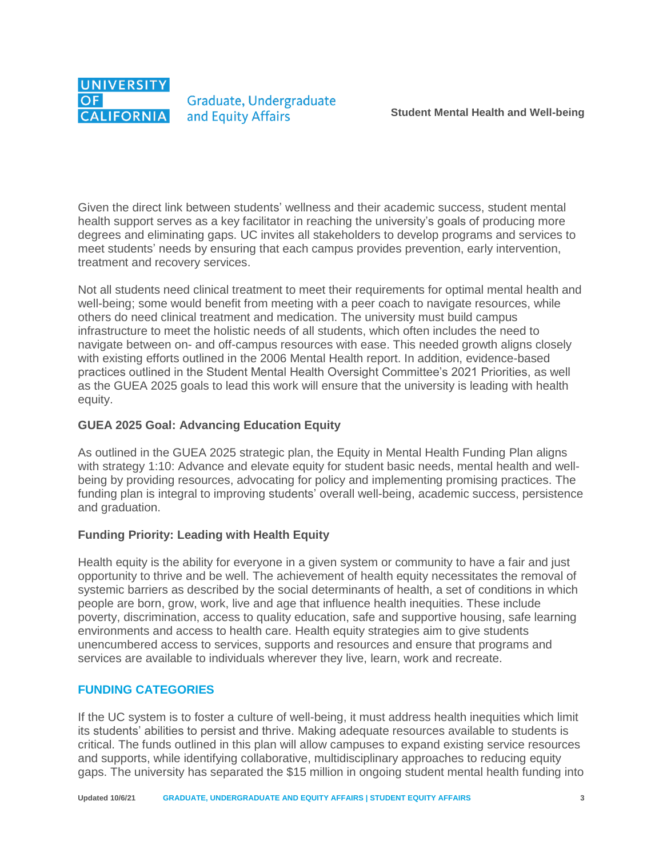

Given the direct link between students' wellness and their academic success, student mental health support serves as a key facilitator in reaching the university's goals of producing more degrees and eliminating gaps. UC invites all stakeholders to develop programs and services to meet students' needs by ensuring that each campus provides prevention, early intervention, treatment and recovery services.

Not all students need clinical treatment to meet their requirements for optimal mental health and well-being; some would benefit from meeting with a peer coach to navigate resources, while others do need clinical treatment and medication. The university must build campus infrastructure to meet the holistic needs of all students, which often includes the need to navigate between on- and off-campus resources with ease. This needed growth aligns closely with existing efforts outlined in the 2006 Mental Health report. In addition, evidence-based practices outlined in the Student Mental Health Oversight Committee's 2021 Priorities, as well as the GUEA 2025 goals to lead this work will ensure that the university is leading with health equity.

#### **GUEA 2025 Goal: Advancing Education Equity**

As outlined in the GUEA 2025 strategic plan, the Equity in Mental Health Funding Plan aligns with strategy 1:10: Advance and elevate equity for student basic needs, mental health and wellbeing by providing resources, advocating for policy and implementing promising practices. The funding plan is integral to improving students' overall well-being, academic success, persistence and graduation.

### **Funding Priority: Leading with Health Equity**

Health equity is the ability for everyone in a given system or community to have a fair and just opportunity to thrive and be well. The achievement of health equity necessitates the removal of systemic barriers as described by the social determinants of health, a set of conditions in which people are born, grow, work, live and age that influence health inequities. These include poverty, discrimination, access to quality education, safe and supportive housing, safe learning environments and access to health care. Health equity strategies aim to give students unencumbered access to services, supports and resources and ensure that programs and services are available to individuals wherever they live, learn, work and recreate.

#### **FUNDING CATEGORIES**

If the UC system is to foster a culture of well-being, it must address health inequities which limit its students' abilities to persist and thrive. Making adequate resources available to students is critical. The funds outlined in this plan will allow campuses to expand existing service resources and supports, while identifying collaborative, multidisciplinary approaches to reducing equity gaps. The university has separated the \$15 million in ongoing student mental health funding into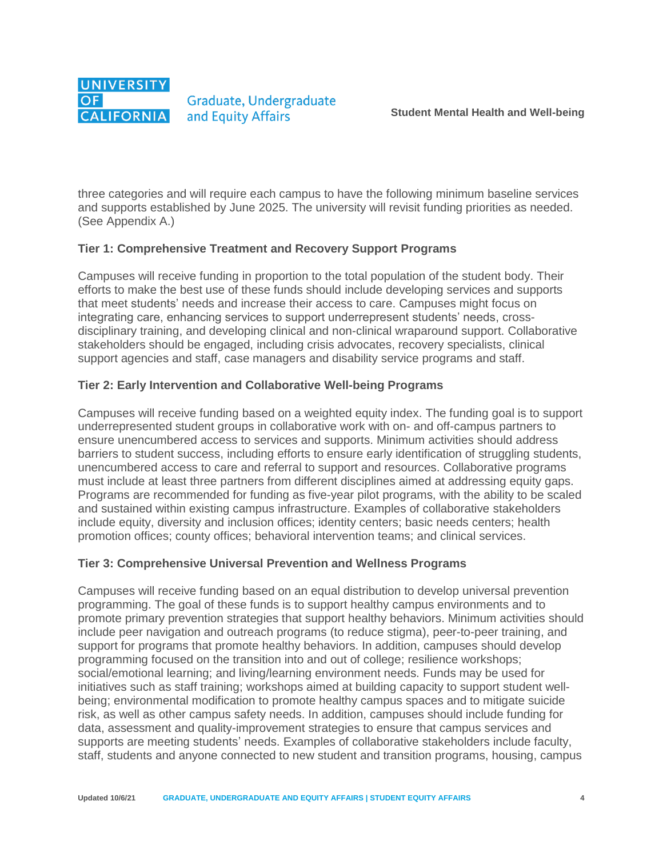

three categories and will require each campus to have the following minimum baseline services and supports established by June 2025. The university will revisit funding priorities as needed. (See Appendix A.)

### **Tier 1: Comprehensive Treatment and Recovery Support Programs**

Campuses will receive funding in proportion to the total population of the student body. Their efforts to make the best use of these funds should include developing services and supports that meet students' needs and increase their access to care. Campuses might focus on integrating care, enhancing services to support underrepresent students' needs, crossdisciplinary training, and developing clinical and non-clinical wraparound support. Collaborative stakeholders should be engaged, including crisis advocates, recovery specialists, clinical support agencies and staff, case managers and disability service programs and staff.

### **Tier 2: Early Intervention and Collaborative Well-being Programs**

Campuses will receive funding based on a weighted equity index. The funding goal is to support underrepresented student groups in collaborative work with on- and off-campus partners to ensure unencumbered access to services and supports. Minimum activities should address barriers to student success, including efforts to ensure early identification of struggling students, unencumbered access to care and referral to support and resources. Collaborative programs must include at least three partners from different disciplines aimed at addressing equity gaps. Programs are recommended for funding as five-year pilot programs, with the ability to be scaled and sustained within existing campus infrastructure. Examples of collaborative stakeholders include equity, diversity and inclusion offices; identity centers; basic needs centers; health promotion offices; county offices; behavioral intervention teams; and clinical services.

### **Tier 3: Comprehensive Universal Prevention and Wellness Programs**

Campuses will receive funding based on an equal distribution to develop universal prevention programming. The goal of these funds is to support healthy campus environments and to promote primary prevention strategies that support healthy behaviors. Minimum activities should include peer navigation and outreach programs (to reduce stigma), peer-to-peer training, and support for programs that promote healthy behaviors. In addition, campuses should develop programming focused on the transition into and out of college; resilience workshops; social/emotional learning; and living/learning environment needs. Funds may be used for initiatives such as staff training; workshops aimed at building capacity to support student wellbeing; environmental modification to promote healthy campus spaces and to mitigate suicide risk, as well as other campus safety needs. In addition, campuses should include funding for data, assessment and quality-improvement strategies to ensure that campus services and supports are meeting students' needs. Examples of collaborative stakeholders include faculty, staff, students and anyone connected to new student and transition programs, housing, campus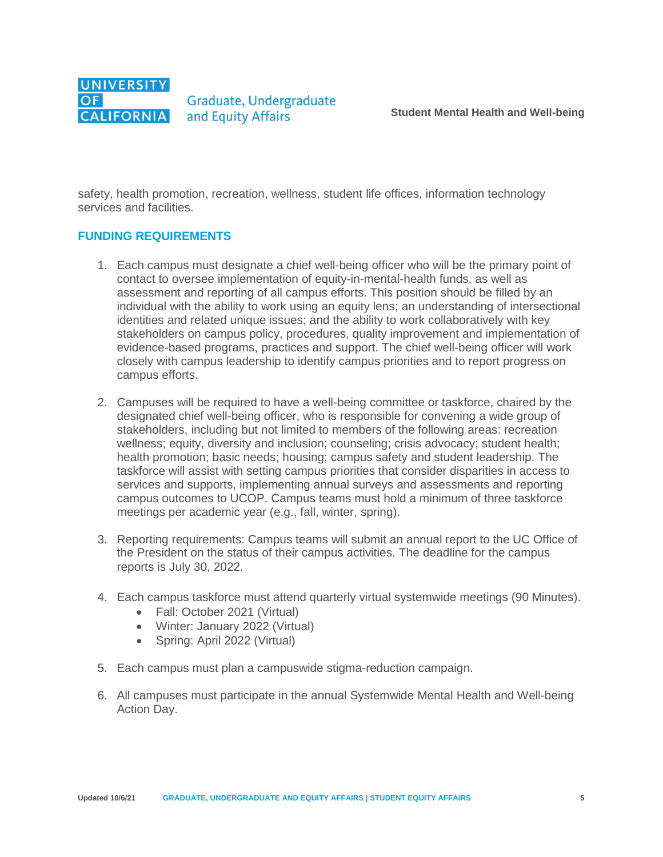

safety, health promotion, recreation, wellness, student life offices, information technology services and facilities.

#### **FUNDING REQUIREMENTS**

- 1. Each campus must designate a chief well-being officer who will be the primary point of contact to oversee implementation of equity-in-mental-health funds, as well as assessment and reporting of all campus efforts. This position should be filled by an individual with the ability to work using an equity lens; an understanding of intersectional identities and related unique issues; and the ability to work collaboratively with key stakeholders on campus policy, procedures, quality improvement and implementation of evidence-based programs, practices and support. The chief well-being officer will work closely with campus leadership to identify campus priorities and to report progress on campus efforts.
- 2. Campuses will be required to have a well-being committee or taskforce, chaired by the designated chief well-being officer, who is responsible for convening a wide group of stakeholders, including but not limited to members of the following areas: recreation wellness; equity, diversity and inclusion; counseling; crisis advocacy; student health; health promotion; basic needs; housing; campus safety and student leadership. The taskforce will assist with setting campus priorities that consider disparities in access to services and supports, implementing annual surveys and assessments and reporting campus outcomes to UCOP. Campus teams must hold a minimum of three taskforce meetings per academic year (e.g., fall, winter, spring).
- 3. Reporting requirements: Campus teams will submit an annual report to the UC Office of the President on the status of their campus activities. The deadline for the campus reports is July 30, 2022.
- 4. Each campus taskforce must attend quarterly virtual systemwide meetings (90 Minutes).
	- Fall: October 2021 (Virtual)
	- Winter: January 2022 (Virtual)
	- Spring: April 2022 (Virtual)
- 5. Each campus must plan a campuswide stigma-reduction campaign.
- 6. All campuses must participate in the annual Systemwide Mental Health and Well-being Action Day.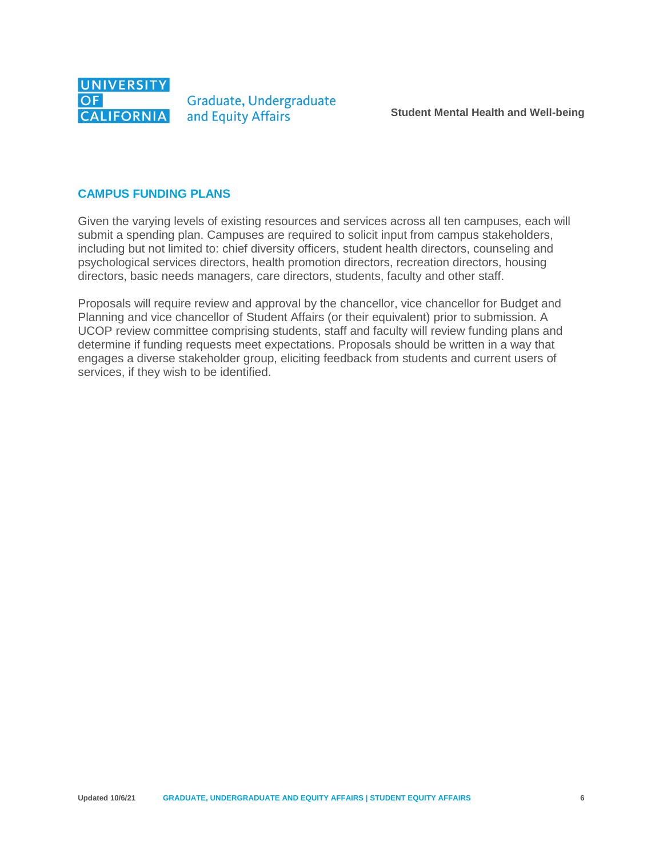

#### **CAMPUS FUNDING PLANS**

Given the varying levels of existing resources and services across all ten campuses, each will submit a spending plan. Campuses are required to solicit input from campus stakeholders, including but not limited to: chief diversity officers, student health directors, counseling and psychological services directors, health promotion directors, recreation directors, housing directors, basic needs managers, care directors, students, faculty and other staff.

Proposals will require review and approval by the chancellor, vice chancellor for Budget and Planning and vice chancellor of Student Affairs (or their equivalent) prior to submission. A UCOP review committee comprising students, staff and faculty will review funding plans and determine if funding requests meet expectations. Proposals should be written in a way that engages a diverse stakeholder group, eliciting feedback from students and current users of services, if they wish to be identified.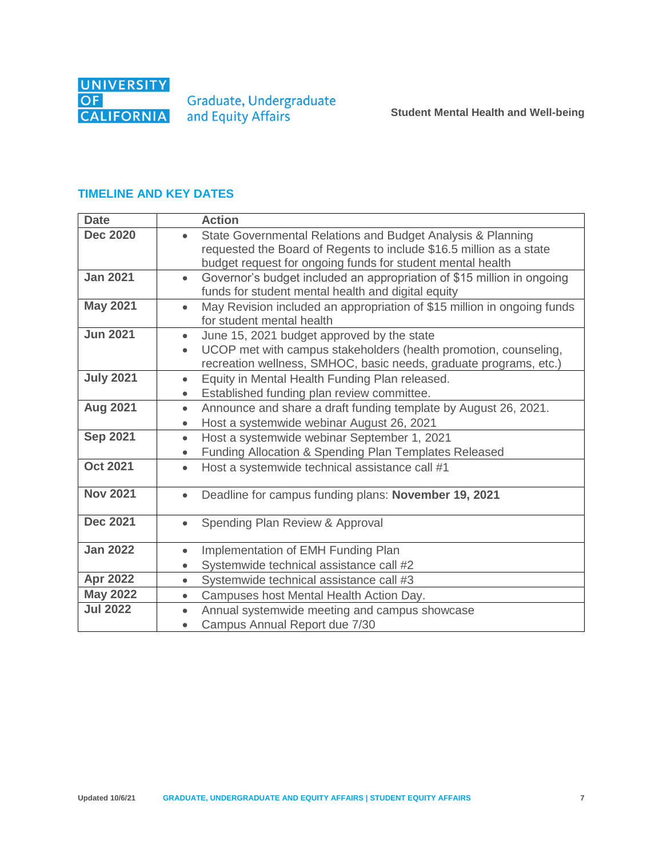

Graduate, Undergraduate<br>and Equity Affairs

## **TIMELINE AND KEY DATES**

| <b>Date</b>      | <b>Action</b>                                                                                                                                      |
|------------------|----------------------------------------------------------------------------------------------------------------------------------------------------|
| <b>Dec 2020</b>  | State Governmental Relations and Budget Analysis & Planning<br>requested the Board of Regents to include \$16.5 million as a state                 |
|                  | budget request for ongoing funds for student mental health                                                                                         |
| <b>Jan 2021</b>  | Governor's budget included an appropriation of \$15 million in ongoing<br>$\bullet$                                                                |
|                  | funds for student mental health and digital equity                                                                                                 |
| <b>May 2021</b>  | May Revision included an appropriation of \$15 million in ongoing funds<br>$\bullet$<br>for student mental health                                  |
| <b>Jun 2021</b>  | June 15, 2021 budget approved by the state<br>$\bullet$                                                                                            |
|                  | UCOP met with campus stakeholders (health promotion, counseling,<br>$\bullet$<br>recreation wellness, SMHOC, basic needs, graduate programs, etc.) |
| <b>July 2021</b> | Equity in Mental Health Funding Plan released.<br>$\bullet$                                                                                        |
|                  | Established funding plan review committee.<br>$\bullet$                                                                                            |
| <b>Aug 2021</b>  | Announce and share a draft funding template by August 26, 2021.<br>$\bullet$                                                                       |
|                  | Host a systemwide webinar August 26, 2021<br>$\bullet$                                                                                             |
| <b>Sep 2021</b>  | Host a systemwide webinar September 1, 2021<br>$\bullet$                                                                                           |
|                  | Funding Allocation & Spending Plan Templates Released<br>$\bullet$                                                                                 |
| <b>Oct 2021</b>  | Host a systemwide technical assistance call #1<br>$\bullet$                                                                                        |
| <b>Nov 2021</b>  | Deadline for campus funding plans: November 19, 2021<br>$\bullet$                                                                                  |
|                  |                                                                                                                                                    |
| <b>Dec 2021</b>  | Spending Plan Review & Approval<br>$\bullet$                                                                                                       |
| <b>Jan 2022</b>  | Implementation of EMH Funding Plan<br>$\bullet$                                                                                                    |
|                  | Systemwide technical assistance call #2<br>$\bullet$                                                                                               |
| <b>Apr 2022</b>  | Systemwide technical assistance call #3<br>$\bullet$                                                                                               |
| <b>May 2022</b>  | Campuses host Mental Health Action Day.<br>$\bullet$                                                                                               |
| <b>Jul 2022</b>  | Annual systemwide meeting and campus showcase<br>$\bullet$                                                                                         |
|                  | Campus Annual Report due 7/30<br>$\bullet$                                                                                                         |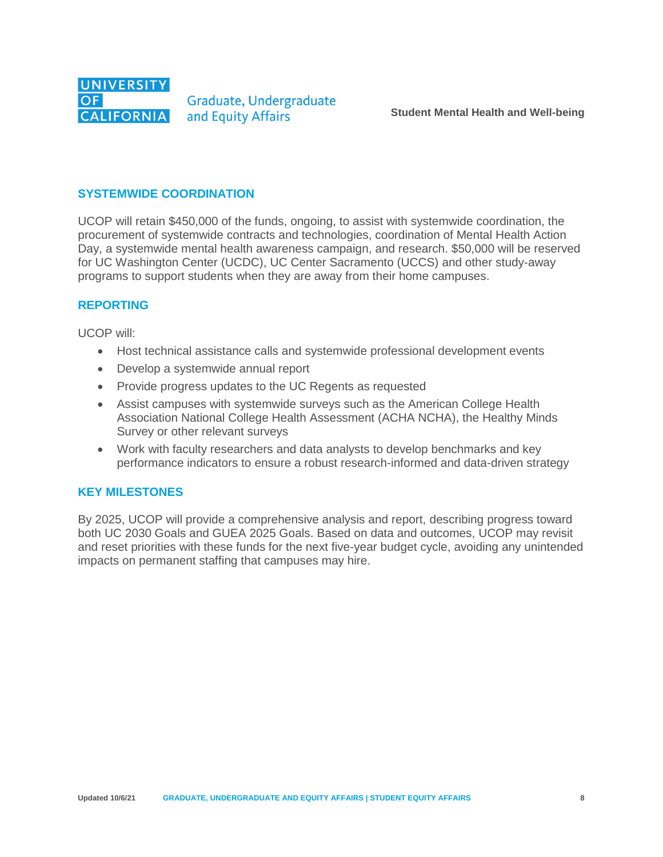

Graduate, Undergraduate and Equity Affairs

#### **SYSTEMWIDE COORDINATION**

UCOP will retain \$450,000 of the funds, ongoing, to assist with systemwide coordination, the procurement of systemwide contracts and technologies, coordination of Mental Health Action Day, a systemwide mental health awareness campaign, and research. \$50,000 will be reserved for UC Washington Center (UCDC), UC Center Sacramento (UCCS) and other study-away programs to support students when they are away from their home campuses.

### **REPORTING**

UCOP will:

- Host technical assistance calls and systemwide professional development events
- Develop a systemwide annual report
- Provide progress updates to the UC Regents as requested
- Assist campuses with systemwide surveys such as the American College Health Association National College Health Assessment (ACHA NCHA), the Healthy Minds Survey or other relevant surveys
- Work with faculty researchers and data analysts to develop benchmarks and key performance indicators to ensure a robust research-informed and data-driven strategy

### **KEY MILESTONES**

By 2025, UCOP will provide a comprehensive analysis and report, describing progress toward both UC 2030 Goals and GUEA 2025 Goals. Based on data and outcomes, UCOP may revisit and reset priorities with these funds for the next five-year budget cycle, avoiding any unintended impacts on permanent staffing that campuses may hire.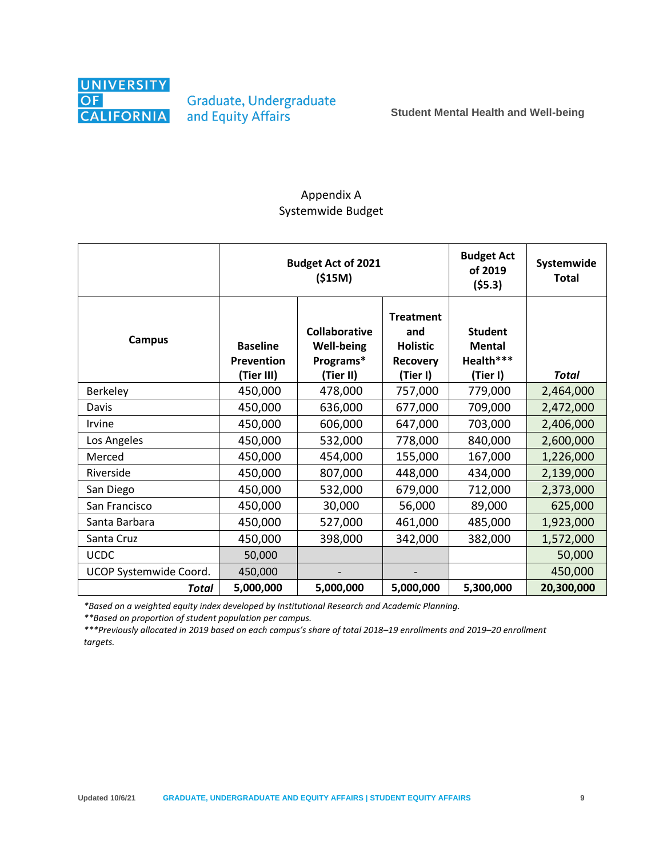

Graduate, Undergraduate and Equity Affairs

### Appendix A Systemwide Budget

|                        |                                             | <b>Budget Act of 2021</b><br>( \$15M)                               | <b>Budget Act</b><br>of 2019<br>(55.3)                                    | Systemwide<br><b>Total</b>                               |              |
|------------------------|---------------------------------------------|---------------------------------------------------------------------|---------------------------------------------------------------------------|----------------------------------------------------------|--------------|
| <b>Campus</b>          | <b>Baseline</b><br>Prevention<br>(Tier III) | <b>Collaborative</b><br><b>Well-being</b><br>Programs*<br>(Tier II) | <b>Treatment</b><br>and<br><b>Holistic</b><br><b>Recovery</b><br>(Tier I) | <b>Student</b><br><b>Mental</b><br>Health***<br>(Tier I) | <b>Total</b> |
| Berkeley               | 450,000                                     | 478,000                                                             | 757,000                                                                   | 779,000                                                  | 2,464,000    |
| Davis                  | 450,000                                     | 636,000                                                             | 677,000                                                                   | 709,000                                                  | 2,472,000    |
| Irvine                 | 450,000                                     | 606,000                                                             | 647,000                                                                   | 703,000                                                  | 2,406,000    |
| Los Angeles            | 450,000                                     | 532,000                                                             | 778,000                                                                   | 840,000                                                  | 2,600,000    |
| Merced                 | 450,000                                     | 454,000                                                             | 155,000                                                                   | 167,000                                                  | 1,226,000    |
| Riverside              | 450,000                                     | 807,000                                                             | 448,000                                                                   | 434,000                                                  | 2,139,000    |
| San Diego              | 450,000                                     | 532,000                                                             | 679,000                                                                   | 712,000                                                  | 2,373,000    |
| San Francisco          | 450,000                                     | 30,000                                                              | 56,000                                                                    | 89,000                                                   | 625,000      |
| Santa Barbara          | 450,000                                     | 527,000                                                             | 461,000                                                                   | 485,000                                                  | 1,923,000    |
| Santa Cruz             | 450,000                                     | 398,000                                                             | 342,000                                                                   | 382,000                                                  | 1,572,000    |
| <b>UCDC</b>            | 50,000                                      |                                                                     |                                                                           |                                                          | 50,000       |
| UCOP Systemwide Coord. | 450,000                                     |                                                                     |                                                                           |                                                          | 450,000      |
| Total                  | 5,000,000                                   | 5,000,000                                                           | 5,000,000                                                                 | 5,300,000                                                | 20,300,000   |

*\*Based on a weighted equity index developed by Institutional Research and Academic Planning.*

*\*\*Based on proportion of student population per campus.*

*\*\*\*Previously allocated in 2019 based on each campus's share of total 2018–19 enrollments and 2019–20 enrollment targets.*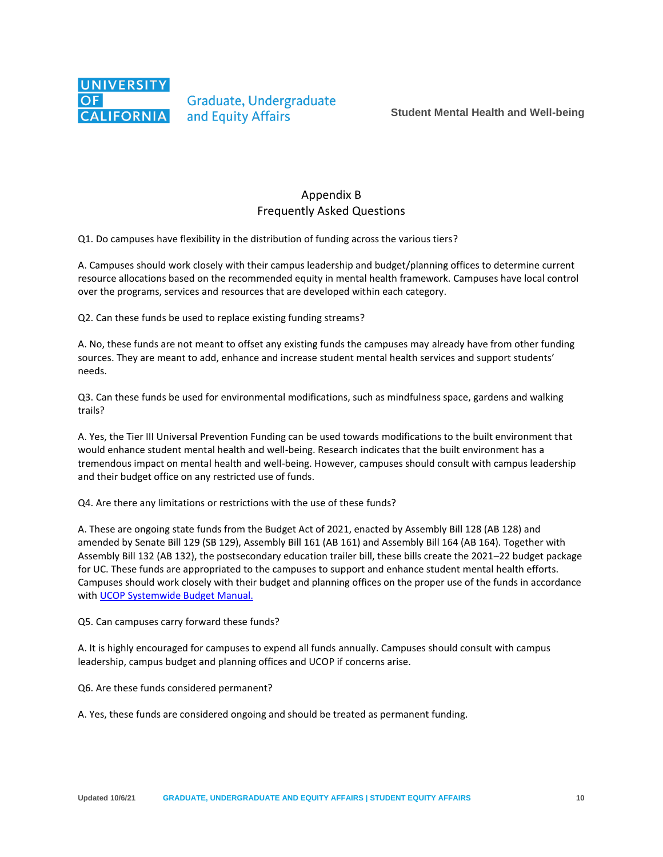

### Appendix B Frequently Asked Questions

Q1. Do campuses have flexibility in the distribution of funding across the various tiers?

A. Campuses should work closely with their campus leadership and budget/planning offices to determine current resource allocations based on the recommended equity in mental health framework. Campuses have local control over the programs, services and resources that are developed within each category.

Q2. Can these funds be used to replace existing funding streams?

A. No, these funds are not meant to offset any existing funds the campuses may already have from other funding sources. They are meant to add, enhance and increase student mental health services and support students' needs.

Q3. Can these funds be used for environmental modifications, such as mindfulness space, gardens and walking trails?

A. Yes, the Tier III Universal Prevention Funding can be used towards modifications to the built environment that would enhance student mental health and well-being. Research indicates that the built environment has a tremendous impact on mental health and well-being. However, campuses should consult with campus leadership and their budget office on any restricted use of funds.

Q4. Are there any limitations or restrictions with the use of these funds?

A. These are ongoing state funds from the Budget Act of 2021, enacted by Assembly Bill 128 (AB 128) and amended by Senate Bill 129 (SB 129), Assembly Bill 161 (AB 161) and Assembly Bill 164 (AB 164). Together with Assembly Bill 132 (AB 132), the postsecondary education trailer bill, these bills create the 2021–22 budget package for UC. These funds are appropriated to the campuses to support and enhance student mental health efforts. Campuses should work closely with their budget and planning offices on the proper use of the funds in accordance with [UCOP Systemwide Budget Manual.](https://ucop.edu/operating-budget/budgets-and-reports/other-resources/index.html)

#### Q5. Can campuses carry forward these funds?

A. It is highly encouraged for campuses to expend all funds annually. Campuses should consult with campus leadership, campus budget and planning offices and UCOP if concerns arise.

Q6. Are these funds considered permanent?

A. Yes, these funds are considered ongoing and should be treated as permanent funding.